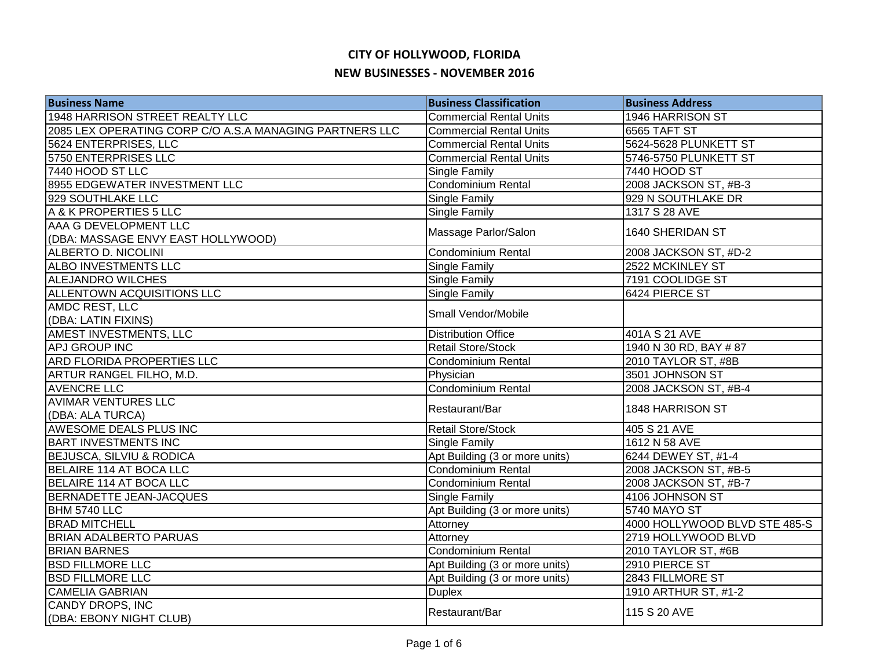| <b>Business Name</b>                                    | <b>Business Classification</b> | <b>Business Address</b>       |
|---------------------------------------------------------|--------------------------------|-------------------------------|
| 1948 HARRISON STREET REALTY LLC                         | <b>Commercial Rental Units</b> | 1946 HARRISON ST              |
| 2085 LEX OPERATING CORP C/O A.S.A MANAGING PARTNERS LLC | <b>Commercial Rental Units</b> | 6565 TAFT ST                  |
| 5624 ENTERPRISES, LLC                                   | <b>Commercial Rental Units</b> | 5624-5628 PLUNKETT ST         |
| 5750 ENTERPRISES LLC                                    | <b>Commercial Rental Units</b> | 5746-5750 PLUNKETT ST         |
| 7440 HOOD ST LLC                                        | Single Family                  | 7440 HOOD ST                  |
| 8955 EDGEWATER INVESTMENT LLC                           | Condominium Rental             | 2008 JACKSON ST, #B-3         |
| 929 SOUTHLAKE LLC                                       | Single Family                  | 929 N SOUTHLAKE DR            |
| A & K PROPERTIES 5 LLC                                  | Single Family                  | 1317 S 28 AVE                 |
| AAA G DEVELOPMENT LLC                                   |                                | 1640 SHERIDAN ST              |
| (DBA: MASSAGE ENVY EAST HOLLYWOOD)                      | Massage Parlor/Salon           |                               |
| ALBERTO D. NICOLINI                                     | <b>Condominium Rental</b>      | 2008 JACKSON ST, #D-2         |
| <b>ALBO INVESTMENTS LLC</b>                             | Single Family                  | 2522 MCKINLEY ST              |
| <b>ALEJANDRO WILCHES</b>                                | Single Family                  | 7191 COOLIDGE ST              |
| <b>ALLENTOWN ACQUISITIONS LLC</b>                       | Single Family                  | 6424 PIERCE ST                |
| AMDC REST, LLC                                          | Small Vendor/Mobile            |                               |
| (DBA: LATIN FIXINS)                                     |                                |                               |
| <b>AMEST INVESTMENTS, LLC</b>                           | <b>Distribution Office</b>     | 401A S 21 AVE                 |
| <b>APJ GROUP INC</b>                                    | <b>Retail Store/Stock</b>      | 1940 N 30 RD, BAY #87         |
| <b>ARD FLORIDA PROPERTIES LLC</b>                       | Condominium Rental             | 2010 TAYLOR ST, #8B           |
| ARTUR RANGEL FILHO, M.D.                                | Physician                      | 3501 JOHNSON ST               |
| <b>AVENCRE LLC</b>                                      | <b>Condominium Rental</b>      | 2008 JACKSON ST, #B-4         |
| <b>AVIMAR VENTURES LLC</b>                              | Restaurant/Bar                 | 1848 HARRISON ST              |
| (DBA: ALA TURCA)                                        |                                |                               |
| AWESOME DEALS PLUS INC                                  | Retail Store/Stock             | 405 S 21 AVE                  |
| <b>BART INVESTMENTS INC</b>                             | Single Family                  | 1612 N 58 AVE                 |
| <b>BEJUSCA, SILVIU &amp; RODICA</b>                     | Apt Building (3 or more units) | 6244 DEWEY ST, #1-4           |
| BELAIRE 114 AT BOCA LLC                                 | <b>Condominium Rental</b>      | 2008 JACKSON ST, #B-5         |
| <b>BELAIRE 114 AT BOCA LLC</b>                          | <b>Condominium Rental</b>      | 2008 JACKSON ST, #B-7         |
| BERNADETTE JEAN-JACQUES                                 | Single Family                  | 4106 JOHNSON ST               |
| BHM 5740 LLC                                            | Apt Building (3 or more units) | 5740 MAYO ST                  |
| <b>BRAD MITCHELL</b>                                    | Attorney                       | 4000 HOLLYWOOD BLVD STE 485-S |
| <b>BRIAN ADALBERTO PARUAS</b>                           | Attorney                       | 2719 HOLLYWOOD BLVD           |
| <b>BRIAN BARNES</b>                                     | Condominium Rental             | 2010 TAYLOR ST, #6B           |
| <b>BSD FILLMORE LLC</b>                                 | Apt Building (3 or more units) | 2910 PIERCE ST                |
| <b>BSD FILLMORE LLC</b>                                 | Apt Building (3 or more units) | 2843 FILLMORE ST              |
| <b>CAMELIA GABRIAN</b>                                  | <b>Duplex</b>                  | 1910 ARTHUR ST, #1-2          |
| CANDY DROPS, INC                                        |                                |                               |
| (DBA: EBONY NIGHT CLUB)                                 | Restaurant/Bar                 | 115 S 20 AVE                  |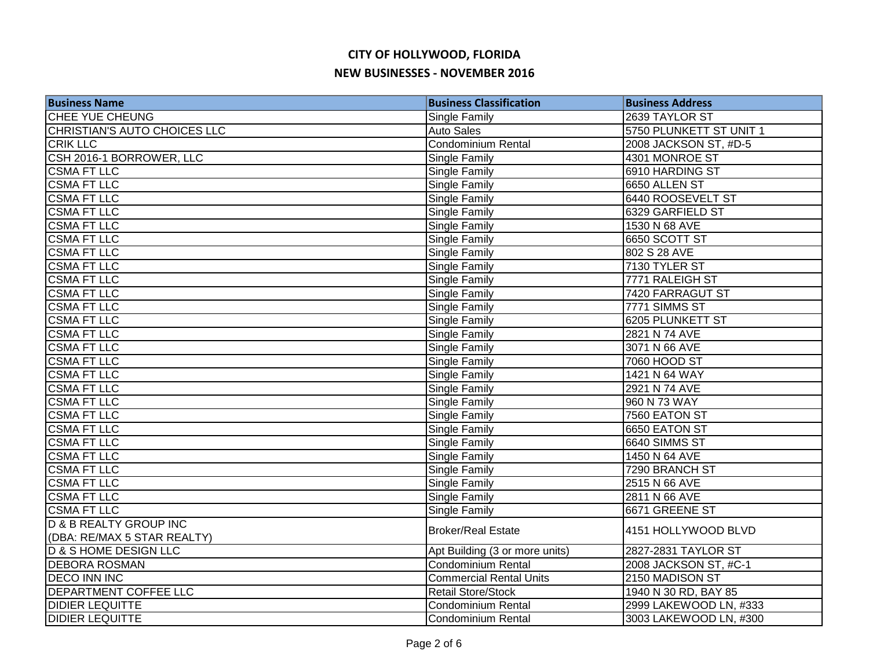| <b>Business Name</b>                | <b>Business Classification</b> | <b>Business Address</b> |
|-------------------------------------|--------------------------------|-------------------------|
| CHEE YUE CHEUNG                     | Single Family                  | 2639 TAYLOR ST          |
| <b>CHRISTIAN'S AUTO CHOICES LLC</b> | Auto Sales                     | 5750 PLUNKETT ST UNIT 1 |
| <b>CRIK LLC</b>                     | Condominium Rental             | 2008 JACKSON ST, #D-5   |
| CSH 2016-1 BORROWER, LLC            | Single Family                  | 4301 MONROE ST          |
| <b>CSMA FT LLC</b>                  | Single Family                  | 6910 HARDING ST         |
| <b>CSMA FT LLC</b>                  | <b>Single Family</b>           | 6650 ALLEN ST           |
| <b>CSMA FT LLC</b>                  | <b>Single Family</b>           | 6440 ROOSEVELT ST       |
| <b>CSMA FT LLC</b>                  | <b>Single Family</b>           | 6329 GARFIELD ST        |
| <b>CSMA FT LLC</b>                  | <b>Single Family</b>           | 1530 N 68 AVE           |
| <b>CSMA FT LLC</b>                  | Single Family                  | 6650 SCOTT ST           |
| <b>CSMA FT LLC</b>                  | Single Family                  | 802 S 28 AVE            |
| <b>CSMA FT LLC</b>                  | Single Family                  | 7130 TYLER ST           |
| <b>CSMA FT LLC</b>                  | Single Family                  | 7771 RALEIGH ST         |
| <b>CSMA FT LLC</b>                  | Single Family                  | 7420 FARRAGUT ST        |
| <b>CSMA FT LLC</b>                  | Single Family                  | 7771 SIMMS ST           |
| <b>CSMA FT LLC</b>                  | Single Family                  | <b>6205 PLUNKETT ST</b> |
| <b>CSMA FT LLC</b>                  | <b>Single Family</b>           | 2821 N 74 AVE           |
| <b>CSMA FT LLC</b>                  | Single Family                  | 3071 N 66 AVE           |
| <b>CSMA FT LLC</b>                  | Single Family                  | 7060 HOOD ST            |
| <b>CSMA FT LLC</b>                  | Single Family                  | 1421 N 64 WAY           |
| <b>CSMA FT LLC</b>                  | Single Family                  | 2921 N 74 AVE           |
| <b>CSMA FT LLC</b>                  | Single Family                  | 960 N 73 WAY            |
| <b>CSMA FT LLC</b>                  | Single Family                  | 7560 EATON ST           |
| <b>CSMA FT LLC</b>                  | <b>Single Family</b>           | 6650 EATON ST           |
| <b>CSMA FT LLC</b>                  | Single Family                  | 6640 SIMMS ST           |
| <b>CSMA FT LLC</b>                  | <b>Single Family</b>           | 1450 N 64 AVE           |
| <b>CSMA FT LLC</b>                  | <b>Single Family</b>           | 7290 BRANCH ST          |
| <b>CSMA FT LLC</b>                  | <b>Single Family</b>           | 2515 N 66 AVE           |
| <b>CSMA FT LLC</b>                  | <b>Single Family</b>           | 2811 N 66 AVE           |
| <b>CSMA FT LLC</b>                  | Single Family                  | 6671 GREENE ST          |
| <b>D &amp; B REALTY GROUP INC</b>   | <b>Broker/Real Estate</b>      | 4151 HOLLYWOOD BLVD     |
| (DBA: RE/MAX 5 STAR REALTY)         |                                |                         |
| <b>D &amp; S HOME DESIGN LLC</b>    | Apt Building (3 or more units) | 2827-2831 TAYLOR ST     |
| <b>DEBORA ROSMAN</b>                | Condominium Rental             | 2008 JACKSON ST, #C-1   |
| <b>DECO INN INC</b>                 | <b>Commercial Rental Units</b> | 2150 MADISON ST         |
| DEPARTMENT COFFEE LLC               | <b>Retail Store/Stock</b>      | 1940 N 30 RD, BAY 85    |
| <b>DIDIER LEQUITTE</b>              | Condominium Rental             | 2999 LAKEWOOD LN, #333  |
| <b>DIDIER LEQUITTE</b>              | Condominium Rental             | 3003 LAKEWOOD LN, #300  |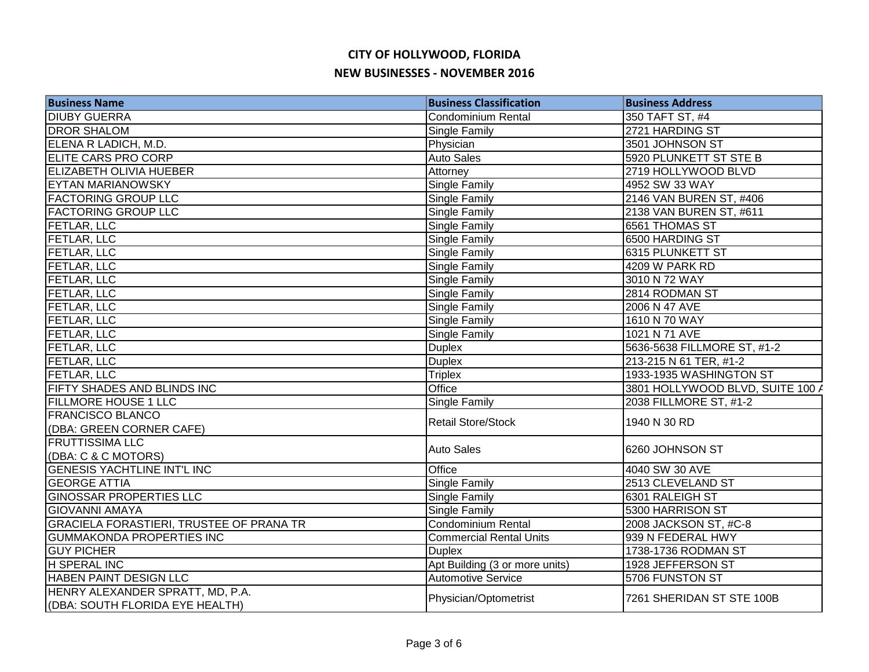| <b>Business Name</b>                            | <b>Business Classification</b> | <b>Business Address</b>          |
|-------------------------------------------------|--------------------------------|----------------------------------|
| <b>DIUBY GUERRA</b>                             | <b>Condominium Rental</b>      | 350 TAFT ST, #4                  |
| <b>DROR SHALOM</b>                              | Single Family                  | 2721 HARDING ST                  |
| ELENA R LADICH, M.D.                            | Physician                      | 3501 JOHNSON ST                  |
| <b>ELITE CARS PRO CORP</b>                      | Auto Sales                     | 5920 PLUNKETT ST STE B           |
| <b>ELIZABETH OLIVIA HUEBER</b>                  | Attorney                       | 2719 HOLLYWOOD BLVD              |
| <b>EYTAN MARIANOWSKY</b>                        | Single Family                  | 4952 SW 33 WAY                   |
| <b>FACTORING GROUP LLC</b>                      | Single Family                  | 2146 VAN BUREN ST, #406          |
| <b>FACTORING GROUP LLC</b>                      | Single Family                  | 2138 VAN BUREN ST, #611          |
| <b>FETLAR, LLC</b>                              | Single Family                  | 6561 THOMAS ST                   |
| <b>FETLAR, LLC</b>                              | Single Family                  | 6500 HARDING ST                  |
| <b>FETLAR, LLC</b>                              | Single Family                  | 6315 PLUNKETT ST                 |
| <b>FETLAR, LLC</b>                              | Single Family                  | 4209 W PARK RD                   |
| <b>FETLAR, LLC</b>                              | Single Family                  | 3010 N 72 WAY                    |
| <b>FETLAR, LLC</b>                              | Single Family                  | 2814 RODMAN ST                   |
| <b>FETLAR, LLC</b>                              | Single Family                  | 2006 N 47 AVE                    |
| <b>FETLAR, LLC</b>                              | Single Family                  | 1610 N 70 WAY                    |
| <b>FETLAR, LLC</b>                              | Single Family                  | 1021 N 71 AVE                    |
| <b>FETLAR, LLC</b>                              | <b>Duplex</b>                  | 5636-5638 FILLMORE ST, #1-2      |
| <b>FETLAR, LLC</b>                              | <b>Duplex</b>                  | 213-215 N 61 TER, #1-2           |
| <b>FETLAR, LLC</b>                              | <b>Triplex</b>                 | 1933-1935 WASHINGTON ST          |
| FIFTY SHADES AND BLINDS INC                     | Office                         | 3801 HOLLYWOOD BLVD, SUITE 100 A |
| <b>FILLMORE HOUSE 1 LLC</b>                     | Single Family                  | 2038 FILLMORE ST, #1-2           |
| <b>FRANCISCO BLANCO</b>                         | <b>Retail Store/Stock</b>      | 1940 N 30 RD                     |
| (DBA: GREEN CORNER CAFE)                        |                                |                                  |
| <b>FRUTTISSIMA LLC</b>                          | <b>Auto Sales</b>              | 6260 JOHNSON ST                  |
| (DBA: C & C MOTORS)                             |                                |                                  |
| <b>GENESIS YACHTLINE INT'L INC</b>              | Office                         | 4040 SW 30 AVE                   |
| <b>GEORGE ATTIA</b>                             | Single Family                  | 2513 CLEVELAND ST                |
| <b>GINOSSAR PROPERTIES LLC</b>                  | Single Family                  | 6301 RALEIGH ST                  |
| <b>GIOVANNI AMAYA</b>                           | Single Family                  | 5300 HARRISON ST                 |
| <b>GRACIELA FORASTIERI, TRUSTEE OF PRANA TR</b> | <b>Condominium Rental</b>      | 2008 JACKSON ST, #C-8            |
| <b>GUMMAKONDA PROPERTIES INC</b>                | <b>Commercial Rental Units</b> | 939 N FEDERAL HWY                |
| <b>GUY PICHER</b>                               | <b>Duplex</b>                  | 1738-1736 RODMAN ST              |
| H SPERAL INC                                    | Apt Building (3 or more units) | 1928 JEFFERSON ST                |
| HABEN PAINT DESIGN LLC                          | <b>Automotive Service</b>      | 5706 FUNSTON ST                  |
| HENRY ALEXANDER SPRATT, MD, P.A.                | Physician/Optometrist          | 7261 SHERIDAN ST STE 100B        |
| (DBA: SOUTH FLORIDA EYE HEALTH)                 |                                |                                  |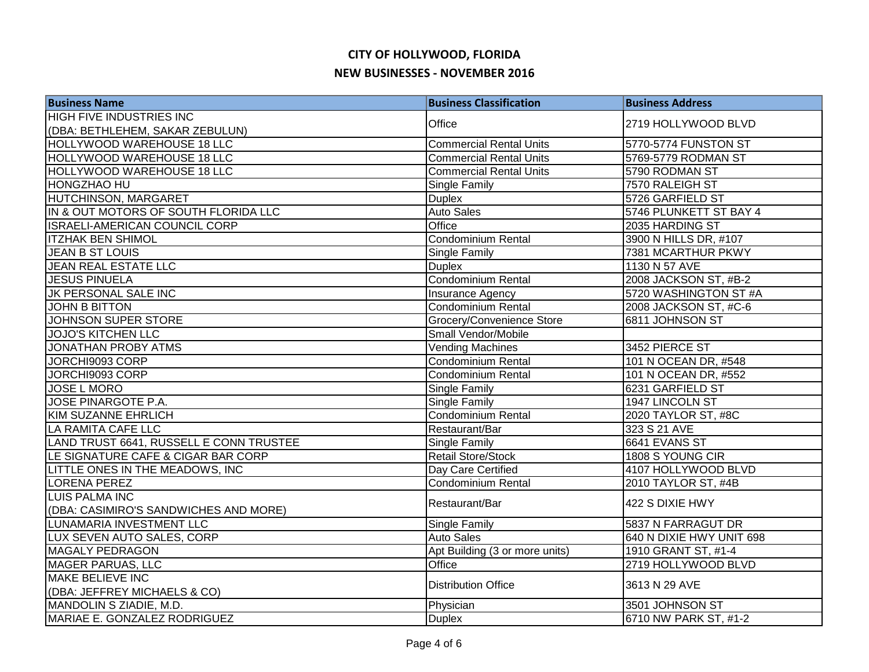| <b>Business Name</b>                    | <b>Business Classification</b> | <b>Business Address</b>  |
|-----------------------------------------|--------------------------------|--------------------------|
| <b>HIGH FIVE INDUSTRIES INC</b>         | Office                         | 2719 HOLLYWOOD BLVD      |
| (DBA: BETHLEHEM, SAKAR ZEBULUN)         |                                |                          |
| HOLLYWOOD WAREHOUSE 18 LLC              | <b>Commercial Rental Units</b> | 5770-5774 FUNSTON ST     |
| HOLLYWOOD WAREHOUSE 18 LLC              | <b>Commercial Rental Units</b> | 5769-5779 RODMAN ST      |
| <b>HOLLYWOOD WAREHOUSE 18 LLC</b>       | <b>Commercial Rental Units</b> | 5790 RODMAN ST           |
| <b>HONGZHAO HU</b>                      | Single Family                  | 7570 RALEIGH ST          |
| HUTCHINSON, MARGARET                    | <b>Duplex</b>                  | 5726 GARFIELD ST         |
| IN & OUT MOTORS OF SOUTH FLORIDA LLC    | Auto Sales                     | 5746 PLUNKETT ST BAY 4   |
| ISRAELI-AMERICAN COUNCIL CORP           | Office                         | 2035 HARDING ST          |
| <b>ITZHAK BEN SHIMOL</b>                | Condominium Rental             | 3900 N HILLS DR, #107    |
| JEAN B ST LOUIS                         | Single Family                  | 7381 MCARTHUR PKWY       |
| <b>JEAN REAL ESTATE LLC</b>             | <b>Duplex</b>                  | 1130 N 57 AVE            |
| <b>JESUS PINUELA</b>                    | Condominium Rental             | 2008 JACKSON ST, #B-2    |
| JK PERSONAL SALE INC                    | Insurance Agency               | 5720 WASHINGTON ST #A    |
| <b>JOHN B BITTON</b>                    | Condominium Rental             | 2008 JACKSON ST, #C-6    |
| JOHNSON SUPER STORE                     | Grocery/Convenience Store      | 6811 JOHNSON ST          |
| <b>JOJO'S KITCHEN LLC</b>               | Small Vendor/Mobile            |                          |
| <b>JONATHAN PROBY ATMS</b>              | Vending Machines               | 3452 PIERCE ST           |
| JORCHI9093 CORP                         | Condominium Rental             | 101 N OCEAN DR, #548     |
| JORCHI9093 CORP                         | <b>Condominium Rental</b>      | 101 N OCEAN DR, #552     |
| <b>JOSE L MORO</b>                      | Single Family                  | 6231 GARFIELD ST         |
| JOSE PINARGOTE P.A.                     | Single Family                  | 1947 LINCOLN ST          |
| <b>KIM SUZANNE EHRLICH</b>              | Condominium Rental             | 2020 TAYLOR ST, #8C      |
| LA RAMITA CAFE LLC                      | Restaurant/Bar                 | 323 S 21 AVE             |
| LAND TRUST 6641, RUSSELL E CONN TRUSTEE | Single Family                  | 6641 EVANS ST            |
| LE SIGNATURE CAFE & CIGAR BAR CORP      | Retail Store/Stock             | 1808 S YOUNG CIR         |
| LITTLE ONES IN THE MEADOWS, INC         | Day Care Certified             | 4107 HOLLYWOOD BLVD      |
| LORENA PEREZ                            | Condominium Rental             | 2010 TAYLOR ST, #4B      |
| <b>LUIS PALMA INC</b>                   | Restaurant/Bar                 | 422 S DIXIE HWY          |
| (DBA: CASIMIRO'S SANDWICHES AND MORE)   |                                |                          |
| LUNAMARIA INVESTMENT LLC                | Single Family                  | 5837 N FARRAGUT DR       |
| LUX SEVEN AUTO SALES, CORP              | <b>Auto Sales</b>              | 640 N DIXIE HWY UNIT 698 |
| MAGALY PEDRAGON                         | Apt Building (3 or more units) | 1910 GRANT ST, #1-4      |
| <b>MAGER PARUAS, LLC</b>                | Office                         | 2719 HOLLYWOOD BLVD      |
| <b>MAKE BELIEVE INC</b>                 | <b>Distribution Office</b>     | 3613 N 29 AVE            |
| (DBA: JEFFREY MICHAELS & CO)            |                                |                          |
| MANDOLIN S ZIADIE, M.D.                 | Physician                      | 3501 JOHNSON ST          |
| MARIAE E. GONZALEZ RODRIGUEZ            | <b>Duplex</b>                  | 6710 NW PARK ST, #1-2    |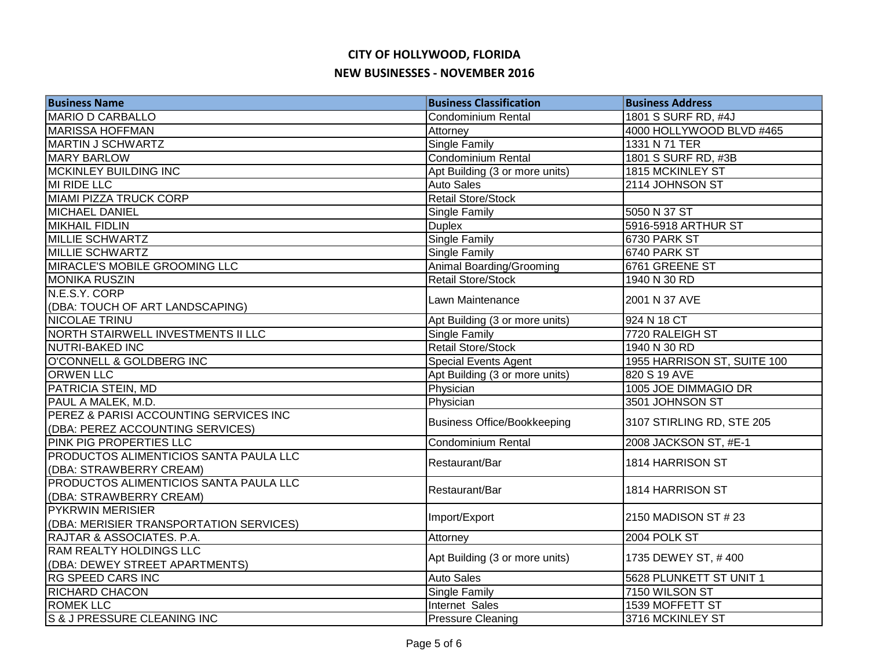| <b>Business Name</b>                      | <b>Business Classification</b>     | <b>Business Address</b>     |
|-------------------------------------------|------------------------------------|-----------------------------|
| <b>MARIO D CARBALLO</b>                   | Condominium Rental                 | 1801 S SURF RD, #4J         |
| <b>MARISSA HOFFMAN</b>                    | Attorney                           | 4000 HOLLYWOOD BLVD #465    |
| <b>MARTIN J SCHWARTZ</b>                  | Single Family                      | 1331 N 71 TER               |
| <b>MARY BARLOW</b>                        | <b>Condominium Rental</b>          | 1801 S SURF RD, #3B         |
| <b>MCKINLEY BUILDING INC</b>              | Apt Building (3 or more units)     | 1815 MCKINLEY ST            |
| <b>MI RIDE LLC</b>                        | <b>Auto Sales</b>                  | 2114 JOHNSON ST             |
| MIAMI PIZZA TRUCK CORP                    | <b>Retail Store/Stock</b>          |                             |
| <b>MICHAEL DANIEL</b>                     | <b>Single Family</b>               | 5050 N 37 ST                |
| <b>MIKHAIL FIDLIN</b>                     | <b>Duplex</b>                      | 5916-5918 ARTHUR ST         |
| <b>MILLIE SCHWARTZ</b>                    | <b>Single Family</b>               | 6730 PARK ST                |
| <b>MILLIE SCHWARTZ</b>                    | Single Family                      | 6740 PARK ST                |
| <b>MIRACLE'S MOBILE GROOMING LLC</b>      | Animal Boarding/Grooming           | 6761 GREENE ST              |
| <b>MONIKA RUSZIN</b>                      | Retail Store/Stock                 | 1940 N 30 RD                |
| N.E.S.Y. CORP                             | Lawn Maintenance                   | 2001 N 37 AVE               |
| (DBA: TOUCH OF ART LANDSCAPING)           |                                    |                             |
| <b>NICOLAE TRINU</b>                      | Apt Building (3 or more units)     | 924 N 18 CT                 |
| <b>NORTH STAIRWELL INVESTMENTS II LLC</b> | Single Family                      | 7720 RALEIGH ST             |
| <b>NUTRI-BAKED INC</b>                    | <b>Retail Store/Stock</b>          | 1940 N 30 RD                |
| O'CONNELL & GOLDBERG INC                  | <b>Special Events Agent</b>        | 1955 HARRISON ST, SUITE 100 |
| <b>ORWEN LLC</b>                          | Apt Building (3 or more units)     | 820 S 19 AVE                |
| PATRICIA STEIN, MD                        | Physician                          | 1005 JOE DIMMAGIO DR        |
| PAUL A MALEK, M.D.                        | Physician                          | 3501 JOHNSON ST             |
| PEREZ & PARISI ACCOUNTING SERVICES INC    | <b>Business Office/Bookkeeping</b> | 3107 STIRLING RD, STE 205   |
| (DBA: PEREZ ACCOUNTING SERVICES)          |                                    |                             |
| PINK PIG PROPERTIES LLC                   | Condominium Rental                 | 2008 JACKSON ST, #E-1       |
| PRODUCTOS ALIMENTICIOS SANTA PAULA LLC    | Restaurant/Bar                     | 1814 HARRISON ST            |
| (DBA: STRAWBERRY CREAM)                   |                                    |                             |
| PRODUCTOS ALIMENTICIOS SANTA PAULA LLC    | Restaurant/Bar                     | 1814 HARRISON ST            |
| (DBA: STRAWBERRY CREAM)                   |                                    |                             |
| <b>PYKRWIN MERISIER</b>                   | Import/Export                      | 2150 MADISON ST # 23        |
| (DBA: MERISIER TRANSPORTATION SERVICES)   |                                    |                             |
| RAJTAR & ASSOCIATES. P.A.                 | Attorney                           | 2004 POLK ST                |
| RAM REALTY HOLDINGS LLC                   | Apt Building (3 or more units)     | 1735 DEWEY ST, #400         |
| (DBA: DEWEY STREET APARTMENTS)            |                                    |                             |
| <b>RG SPEED CARS INC</b>                  | <b>Auto Sales</b>                  | 5628 PLUNKETT ST UNIT 1     |
| <b>RICHARD CHACON</b>                     | Single Family                      | 7150 WILSON ST              |
| <b>ROMEK LLC</b>                          | Internet Sales                     | 1539 MOFFETT ST             |
| S & J PRESSURE CLEANING INC               | <b>Pressure Cleaning</b>           | 3716 MCKINLEY ST            |